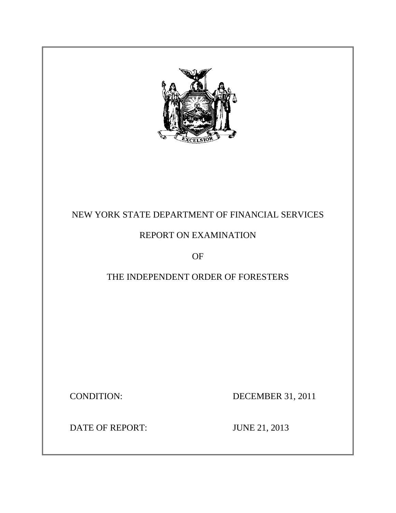

# NEW YORK STATE DEPARTMENT OF FINANCIAL SERVICES

# REPORT ON EXAMINATION

OF

# THE INDEPENDENT ORDER OF FORESTERS

**CONDITION:** 

DECEMBER 31, 2011

DATE OF REPORT: JUNE 21, 2013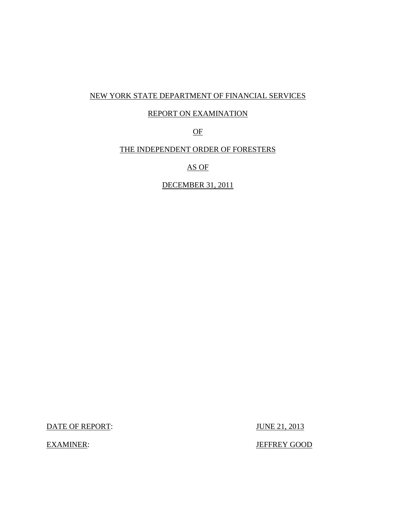## NEW YORK STATE DEPARTMENT OF FINANCIAL SERVICES

## REPORT ON EXAMINATION

OF

## THE INDEPENDENT ORDER OF FORESTERS

AS OF

DECEMBER 31, 2011

DATE OF REPORT: JUNE 21, 2013

**EXAMINER:** 

JEFFREY GOOD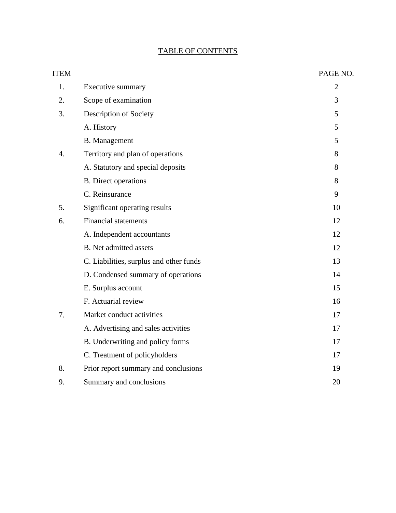## TABLE OF CONTENTS

| <b>ITEM</b>      |                                         | PAGE NO.       |
|------------------|-----------------------------------------|----------------|
| 1.               | <b>Executive summary</b>                | $\overline{2}$ |
| 2.               | Scope of examination                    | 3              |
| 3.               | Description of Society                  | 5              |
|                  | A. History                              | 5              |
|                  | <b>B.</b> Management                    | 5              |
| $\overline{4}$ . | Territory and plan of operations        | 8              |
|                  | A. Statutory and special deposits       | 8              |
|                  | <b>B.</b> Direct operations             | 8              |
|                  | C. Reinsurance                          | 9              |
| 5.               | Significant operating results           | 10             |
| 6.               | <b>Financial statements</b>             | 12             |
|                  | A. Independent accountants              | 12             |
|                  | <b>B.</b> Net admitted assets           | 12             |
|                  | C. Liabilities, surplus and other funds | 13             |
|                  | D. Condensed summary of operations      | 14             |
|                  | E. Surplus account                      | 15             |
|                  | F. Actuarial review                     | 16             |
| 7.               | Market conduct activities               | 17             |
|                  | A. Advertising and sales activities     | 17             |
|                  | B. Underwriting and policy forms        | 17             |
|                  | C. Treatment of policyholders           | 17             |
| 8.               | Prior report summary and conclusions    | 19             |
| 9.               | Summary and conclusions                 | 20             |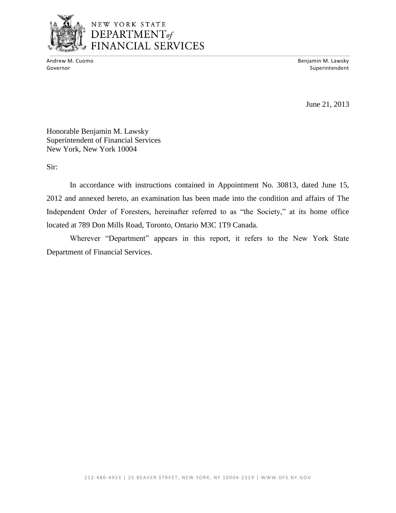

## NEW YORK STATE DEPARTMENT<sub>of</sub> FINANCIAL SERVICES

Andrew M. Cuomo

Benjamin M. Lawsky Governor Superintendent and Superintendent Superintendent Superintendent Superintendent Superintendent Superintendent

June 21, 2013

Honorable Benjamin M. Lawsky Superintendent of Financial Services New York, New York 10004

Sir:

 In accordance with instructions contained in Appointment No. 30813, dated June 15, 2012 and annexed hereto, an examination has been made into the condition and affairs of The Independent Order of Foresters, hereinafter referred to as "the Society," at its home office located at 789 Don Mills Road, Toronto, Ontario M3C 1T9 Canada.

Wherever "Department" appears in this report, it refers to the New York State Department of Financial Services.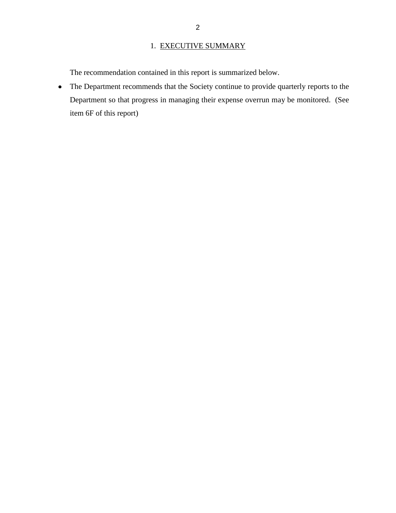## 1. EXECUTIVE SUMMARY

<span id="page-4-0"></span>The recommendation contained in this report is summarized below.

 The Department recommends that the Society continue to provide quarterly reports to the Department so that progress in managing their expense overrun may be monitored. (See item 6F of this report)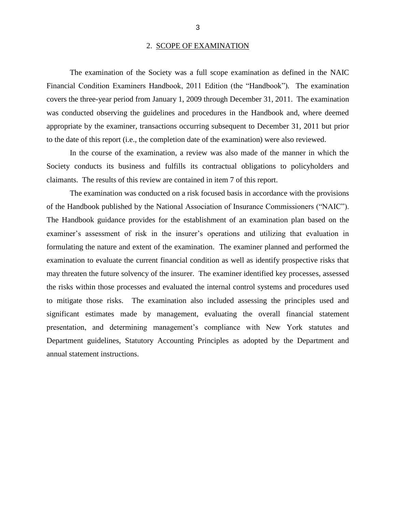#### 2. SCOPE OF EXAMINATION

<span id="page-5-0"></span> Financial Condition Examiners Handbook, 2011 Edition (the "Handbook")*.* The examination covers the three-year period from January 1, 2009 through December 31, 2011. The examination was conducted observing the guidelines and procedures in the Handbook and, where deemed appropriate by the examiner, transactions occurring subsequent to December 31, 2011 but prior The examination of the Society was a full scope examination as defined in the NAIC to the date of this report (i.e., the completion date of the examination) were also reviewed.

 In the course of the examination, a review was also made of the manner in which the Society conducts its business and fulfills its contractual obligations to policyholders and claimants. The results of this review are contained in item 7 of this report.

 of the Handbook published by the National Association of Insurance Commissioners ("NAIC"). examiner's assessment of risk in the insurer's operations and utilizing that evaluation in formulating the nature and extent of the examination. The examiner planned and performed the examination to evaluate the current financial condition as well as identify prospective risks that may threaten the future solvency of the insurer. The examiner identified key processes, assessed to mitigate those risks. The examination also included assessing the principles used and significant estimates made by management, evaluating the overall financial statement presentation, and determining management's compliance with New York statutes and Department guidelines, Statutory Accounting Principles as adopted by the Department and The examination was conducted on a risk focused basis in accordance with the provisions The Handbook guidance provides for the establishment of an examination plan based on the the risks within those processes and evaluated the internal control systems and procedures used annual statement instructions.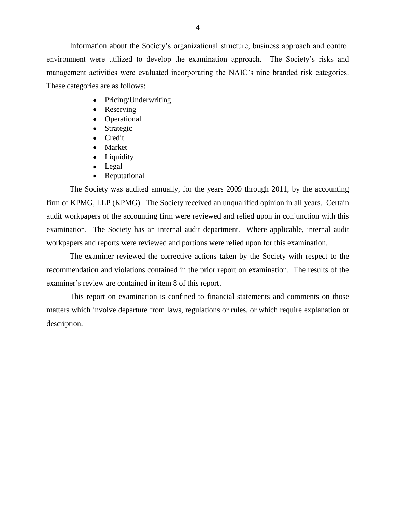environment were utilized to develop the examination approach. The Society's risks and management activities were evaluated incorporating the NAIC's nine branded risk categories. These categories are as follows: Information about the Society's organizational structure, business approach and control

- Pricing/Underwriting  $\bullet$
- Reserving
- Operational
- Strategic  $\bullet$
- Credit
- Market
- Liquidity
- Legal
- Reputational  $\bullet$

 The Society was audited annually, for the years 2009 through 2011, by the accounting firm of KPMG, LLP (KPMG). The Society received an unqualified opinion in all years. Certain audit workpapers of the accounting firm were reviewed and relied upon in conjunction with this examination. The Society has an internal audit department. Where applicable, internal audit workpapers and reports were reviewed and portions were relied upon for this examination.

 recommendation and violations contained in the prior report on examination. The results of the examiner's review are contained in item 8 of this report. The examiner reviewed the corrective actions taken by the Society with respect to the

 matters which involve departure from laws, regulations or rules, or which require explanation or This report on examination is confined to financial statements and comments on those description.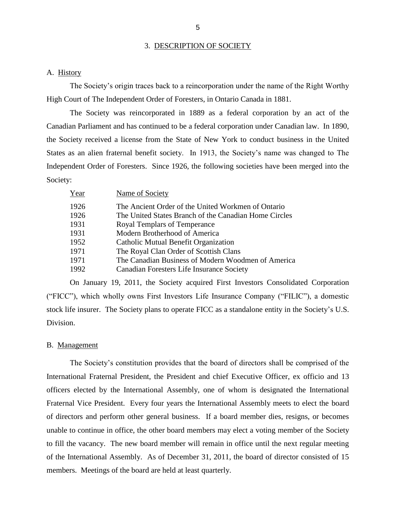#### 3. DESCRIPTION OF SOCIETY

#### A. History

The Society's origin traces back to a reincorporation under the name of the Right Worthy High Court of The Independent Order of Foresters, in Ontario Canada in 1881.

 The Society was reincorporated in 1889 as a federal corporation by an act of the Canadian Parliament and has continued to be a federal corporation under Canadian law. In 1890, the Society received a license from the State of New York to conduct business in the United Independent Order of Foresters. Since 1926, the following societies have been merged into the States as an alien fraternal benefit society. In 1913, the Society's name was changed to The Society:

| Year | Name of Society                                       |
|------|-------------------------------------------------------|
| 1926 | The Ancient Order of the United Workmen of Ontario    |
| 1926 | The United States Branch of the Canadian Home Circles |
| 1931 | Royal Templars of Temperance                          |
| 1931 | Modern Brotherhood of America                         |
| 1952 | Catholic Mutual Benefit Organization                  |
| 1971 | The Royal Clan Order of Scottish Clans                |
| 1971 | The Canadian Business of Modern Woodmen of America    |
| 1992 | Canadian Foresters Life Insurance Society             |

 On January 19, 2011, the Society acquired First Investors Consolidated Corporation ("FICC"), which wholly owns First Investors Life Insurance Company ("FILIC"), a domestic stock life insurer. The Society plans to operate FICC as a standalone entity in the Society's U.S. Division.

#### B. Management

 The Society's constitution provides that the board of directors shall be comprised of the International Fraternal President, the President and chief Executive Officer, ex officio and 13 officers elected by the International Assembly, one of whom is designated the International Fraternal Vice President. Every four years the International Assembly meets to elect the board of directors and perform other general business. If a board member dies, resigns, or becomes unable to continue in office, the other board members may elect a voting member of the Society to fill the vacancy. The new board member will remain in office until the next regular meeting of the International Assembly. As of December 31, 2011, the board of director consisted of 15 members. Meetings of the board are held at least quarterly.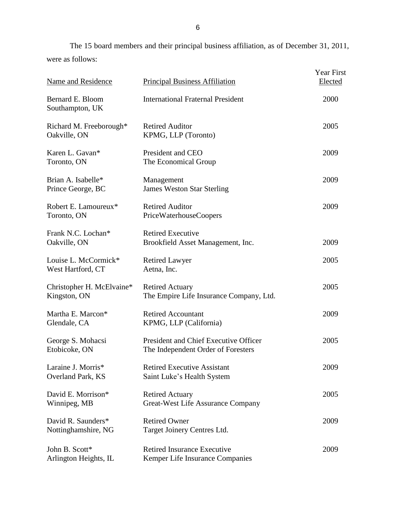The 15 board members and their principal business affiliation, as of December 31, 2011, were as follows:

| Name and Residence                        | <b>Principal Business Affiliation</b>                                       | <b>Year First</b><br><b>Elected</b> |
|-------------------------------------------|-----------------------------------------------------------------------------|-------------------------------------|
| Bernard E. Bloom<br>Southampton, UK       | <b>International Fraternal President</b>                                    | 2000                                |
| Richard M. Freeborough*<br>Oakville, ON   | <b>Retired Auditor</b><br>KPMG, LLP (Toronto)                               | 2005                                |
| Karen L. Gavan*<br>Toronto, ON            | President and CEO<br>The Economical Group                                   | 2009                                |
| Brian A. Isabelle*<br>Prince George, BC   | Management<br><b>James Weston Star Sterling</b>                             | 2009                                |
| Robert E. Lamoureux*<br>Toronto, ON       | <b>Retired Auditor</b><br>PriceWaterhouseCoopers                            | 2009                                |
| Frank N.C. Lochan*<br>Oakville, ON        | <b>Retired Executive</b><br>Brookfield Asset Management, Inc.               | 2009                                |
| Louise L. McCormick*<br>West Hartford, CT | <b>Retired Lawyer</b><br>Aetna, Inc.                                        | 2005                                |
| Christopher H. McElvaine*<br>Kingston, ON | <b>Retired Actuary</b><br>The Empire Life Insurance Company, Ltd.           | 2005                                |
| Martha E. Marcon*<br>Glendale, CA         | <b>Retired Accountant</b><br>KPMG, LLP (California)                         | 2009                                |
| George S. Mohacsi<br>Etobicoke, ON        | President and Chief Executive Officer<br>The Independent Order of Foresters | 2005                                |
| Laraine J. Morris*<br>Overland Park, KS   | <b>Retired Executive Assistant</b><br>Saint Luke's Health System            | 2009                                |
| David E. Morrison*<br>Winnipeg, MB        | <b>Retired Actuary</b><br><b>Great-West Life Assurance Company</b>          | 2005                                |
| David R. Saunders*<br>Nottinghamshire, NG | <b>Retired Owner</b><br>Target Joinery Centres Ltd.                         | 2009                                |
| John B. Scott*<br>Arlington Heights, IL   | <b>Retired Insurance Executive</b><br>Kemper Life Insurance Companies       | 2009                                |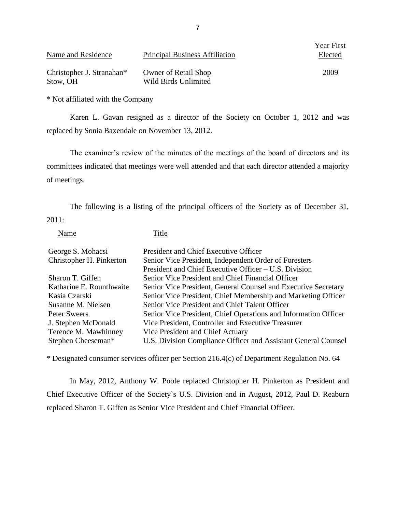| Name and Residence        | <b>Principal Business Affiliation</b> | rear First<br>Elected |
|---------------------------|---------------------------------------|-----------------------|
| Christopher J. Stranahan* | <b>Owner of Retail Shop</b>           | 2009                  |
| Stow, OH                  | Wild Birds Unlimited                  |                       |

\* Not affiliated with the Company

 Karen L. Gavan resigned as a director of the Society on October 1, 2012 and was replaced by Sonia Baxendale on November 13, 2012.

 The examiner's review of the minutes of the meetings of the board of directors and its committees indicated that meetings were well attended and that each director attended a majority of meetings.

The following is a listing of the principal officers of the Society as of December 31, 2011:

Name Title

| George S. Mohacsi        | President and Chief Executive Officer                           |
|--------------------------|-----------------------------------------------------------------|
| Christopher H. Pinkerton | Senior Vice President, Independent Order of Foresters           |
|                          | President and Chief Executive Officer – U.S. Division           |
| Sharon T. Giffen         | Senior Vice President and Chief Financial Officer               |
| Katharine E. Rounthwaite | Senior Vice President, General Counsel and Executive Secretary  |
| Kasia Czarski            | Senior Vice President, Chief Membership and Marketing Officer   |
| Susanne M. Nielsen       | Senior Vice President and Chief Talent Officer                  |
| Peter Sweers             | Senior Vice President, Chief Operations and Information Officer |
| J. Stephen McDonald      | Vice President, Controller and Executive Treasurer              |
| Terence M. Mawhinney     | Vice President and Chief Actuary                                |
| Stephen Cheeseman*       | U.S. Division Compliance Officer and Assistant General Counsel  |

\* Designated consumer services officer per Section 216.4(c) of Department Regulation No. 64

 Chief Executive Officer of the Society's U.S. Division and in August, 2012, Paul D. Reaburn In May, 2012, Anthony W. Poole replaced Christopher H. Pinkerton as President and replaced Sharon T. Giffen as Senior Vice President and Chief Financial Officer.

 $Y_{\text{max}}$  Fig.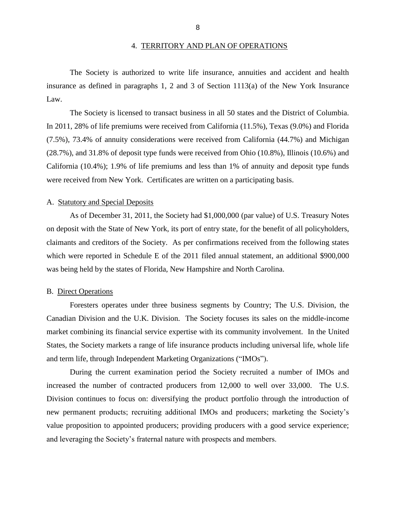#### 4. TERRITORY AND PLAN OF OPERATIONS

<span id="page-10-0"></span> insurance as defined in paragraphs 1, 2 and 3 of Section 1113(a) of the New York Insurance The Society is authorized to write life insurance, annuities and accident and health Law.

 The Society is licensed to transact business in all 50 states and the District of Columbia. (7.5%), 73.4% of annuity considerations were received from California (44.7%) and Michigan California (10.4%); 1.9% of life premiums and less than 1% of annuity and deposit type funds In 2011, 28% of life premiums were received from California (11.5%), Texas (9.0%) and Florida (28.7%), and 31.8% of deposit type funds were received from Ohio (10.8%), Illinois (10.6%) and were received from New York. Certificates are written on a participating basis.

#### A. Statutory and Special Deposits

 on deposit with the State of New York, its port of entry state, for the benefit of all policyholders, As of December 31, 2011, the Society had \$1,000,000 (par value) of U.S. Treasury Notes claimants and creditors of the Society. As per confirmations received from the following states which were reported in Schedule E of the 2011 filed annual statement, an additional \$900,000 was being held by the states of Florida, New Hampshire and North Carolina.

#### B. Direct Operations

 Foresters operates under three business segments by Country; The U.S. Division, the Canadian Division and the U.K. Division. The Society focuses its sales on the middle-income States, the Society markets a range of life insurance products including universal life, whole life market combining its financial service expertise with its community involvement. In the United and term life, through Independent Marketing Organizations ("IMOs").

 During the current examination period the Society recruited a number of IMOs and increased the number of contracted producers from 12,000 to well over 33,000. The U.S. Division continues to focus on: diversifying the product portfolio through the introduction of new permanent products; recruiting additional IMOs and producers; marketing the Society's value proposition to appointed producers; providing producers with a good service experience; and leveraging the Society's fraternal nature with prospects and members.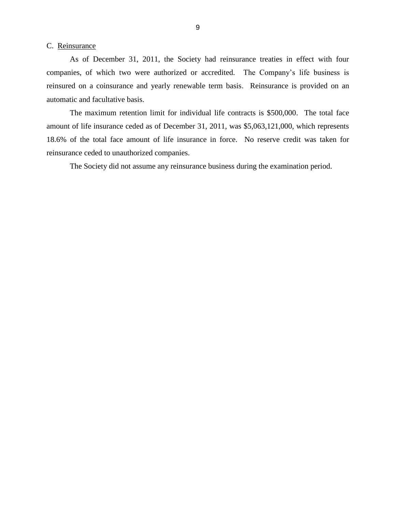#### <span id="page-11-0"></span>C. Reinsurance

 companies, of which two were authorized or accredited. The Company's life business is reinsured on a coinsurance and yearly renewable term basis. Reinsurance is provided on an As of December 31, 2011, the Society had reinsurance treaties in effect with four automatic and facultative basis.

 The maximum retention limit for individual life contracts is \$500,000. The total face amount of life insurance ceded as of December 31, 2011, was \$5,063,121,000, which represents 18.6% of the total face amount of life insurance in force. No reserve credit was taken for reinsurance ceded to unauthorized companies.

The Society did not assume any reinsurance business during the examination period.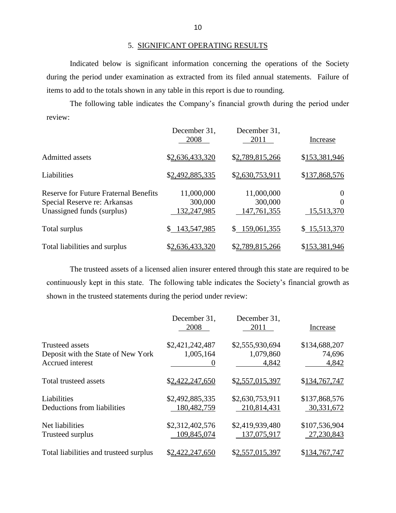## 5. SIGNIFICANT OPERATING RESULTS

 during the period under examination as extracted from its filed annual statements. Failure of Indicated below is significant information concerning the operations of the Society items to add to the totals shown in any table in this report is due to rounding.

 The following table indicates the Company's financial growth during the period under review:

|                                                                                                            | December 31,<br>2008                 | December 31,<br>2011                 | Increase                           |
|------------------------------------------------------------------------------------------------------------|--------------------------------------|--------------------------------------|------------------------------------|
| Admitted assets                                                                                            | \$2,636,433,320                      | \$2,789,815,266                      | \$153,381,946                      |
| Liabilities                                                                                                | \$2,492,885,335                      | \$2,630,753,911                      | \$137,868,576                      |
| <b>Reserve for Future Fraternal Benefits</b><br>Special Reserve re: Arkansas<br>Unassigned funds (surplus) | 11,000,000<br>300,000<br>132,247,985 | 11,000,000<br>300,000<br>147,761,355 | $\theta$<br>$\Omega$<br>15,513,370 |
| Total surplus                                                                                              | 143,547,985<br>S.                    | \$159,061,355                        | \$15,513,370                       |
| Total liabilities and surplus                                                                              | \$2,636,433,320                      | \$2,789,815,266                      | \$153,381,946                      |

 The trusteed assets of a licensed alien insurer entered through this state are required to be continuously kept in this state. The following table indicates the Society's financial growth as shown in the trusteed statements during the period under review:

|                                                                                  | December 31,<br>2008           | December 31,<br>2011                  | Increase                         |
|----------------------------------------------------------------------------------|--------------------------------|---------------------------------------|----------------------------------|
| <b>Trusteed assets</b><br>Deposit with the State of New York<br>Accrued interest | \$2,421,242,487<br>1,005,164   | \$2,555,930,694<br>1,079,860<br>4,842 | \$134,688,207<br>74,696<br>4,842 |
| Total trusteed assets                                                            | \$2,422,247,650                | \$2,557,015,397                       | \$134,767,747                    |
| Liabilities<br>Deductions from liabilities                                       | \$2,492,885,335<br>180,482,759 | \$2,630,753,911<br>210,814,431        | \$137,868,576<br>30,331,672      |
| Net liabilities<br>Trusteed surplus                                              | \$2,312,402,576<br>109,845,074 | \$2,419,939,480<br>137,075,917        | \$107,536,904<br>27,230,843      |
| Total liabilities and trusteed surplus                                           | \$2,422,247,650                | \$2,557,015,397                       | \$134,767,747                    |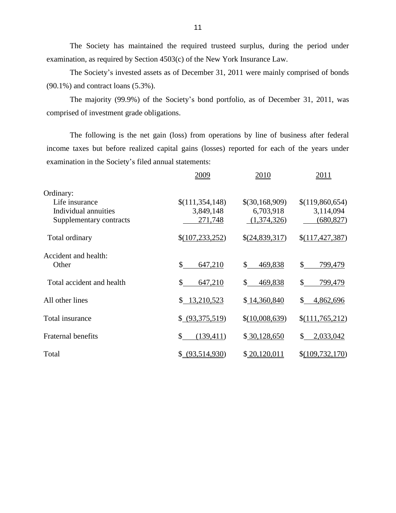The Society has maintained the required trusteed surplus, during the period under examination, as required by Section 4503(c) of the New York Insurance Law.

The Society's invested assets as of December 31, 2011 were mainly comprised of bonds (90.1%) and contract loans (5.3%).

The majority (99.9%) of the Society's bond portfolio, as of December 31, 2011, was comprised of investment grade obligations.

 The following is the net gain (loss) from operations by line of business after federal income taxes but before realized capital gains (losses) reported for each of the years under examination in the Society's filed annual statements:

|                           | 2009              | 2010                      | 2011            |
|---------------------------|-------------------|---------------------------|-----------------|
| Ordinary:                 |                   |                           |                 |
| Life insurance            | \$(111,354,148)   | \$(30,168,909)            | \$(119,860,654) |
| Individual annuities      | 3,849,148         | 6,703,918                 | 3,114,094       |
| Supplementary contracts   | 271,748           | (1,374,326)               | (680, 827)      |
| Total ordinary            | \$(107, 233, 252) | \$(24,839,317)            | \$(117,427,387) |
| Accident and health:      |                   |                           |                 |
| Other                     | \$<br>647,210     | $\mathbb{S}$<br>469,838   | \$<br>799,479   |
| Total accident and health | 647,210<br>\$     | $\mathbb{S}^-$<br>469,838 | \$<br>799,479   |
| All other lines           | \$13,210,523      | \$14,360,840              | 4,862,696<br>\$ |
| Total insurance           | \$ (93,375,519)   | \$(10,008,639)            | \$(111,765,212) |
| <b>Fraternal benefits</b> | \$<br>(139, 411)  | \$30,128,650              | 2,033,042<br>S. |
| Total                     | \$ (93,514,930)   | \$20,120,011              | \$(109,732,170) |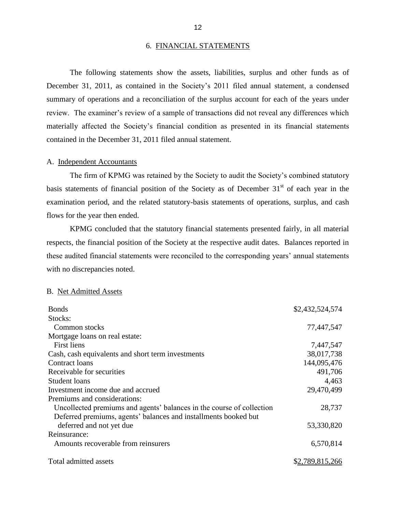#### 6. FINANCIAL STATEMENTS

 December 31, 2011, as contained in the Society's 2011 filed annual statement, a condensed summary of operations and a reconciliation of the surplus account for each of the years under review. The examiner's review of a sample of transactions did not reveal any differences which The following statements show the assets, liabilities, surplus and other funds as of materially affected the Society's financial condition as presented in its financial statements contained in the December 31, 2011 filed annual statement.

#### A. Independent Accountants

 The firm of KPMG was retained by the Society to audit the Society's combined statutory basis statements of financial position of the Society as of December  $31<sup>st</sup>$  of each year in the examination period, and the related statutory-basis statements of operations, surplus, and cash flows for the year then ended.

 KPMG concluded that the statutory financial statements presented fairly, in all material respects, the financial position of the Society at the respective audit dates. Balances reported in these audited financial statements were reconciled to the corresponding years' annual statements with no discrepancies noted.

#### B. Net Admitted Assets

| <b>Bonds</b>                                                          | \$2,432,524,574 |
|-----------------------------------------------------------------------|-----------------|
| Stocks:                                                               |                 |
| Common stocks                                                         | 77,447,547      |
| Mortgage loans on real estate:                                        |                 |
| First liens                                                           | 7,447,547       |
| Cash, cash equivalents and short term investments                     | 38,017,738      |
| Contract loans                                                        | 144,095,476     |
| Receivable for securities                                             | 491,706         |
| <b>Student loans</b>                                                  | 4,463           |
| Investment income due and accrued                                     | 29,470,499      |
| Premiums and considerations:                                          |                 |
| Uncollected premiums and agents' balances in the course of collection | 28,737          |
| Deferred premiums, agents' balances and installments booked but       |                 |
| deferred and not yet due                                              | 53,330,820      |
| Reinsurance:                                                          |                 |
| Amounts recoverable from reinsurers                                   | 6,570,814       |
| Total admitted assets                                                 | \$2,789,815,266 |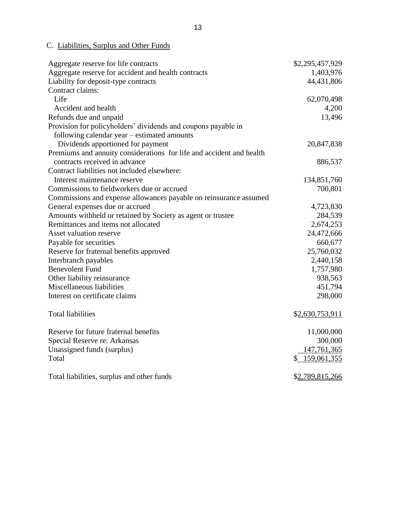#### <span id="page-15-0"></span>C. Liabilities, Surplus and Other Funds

| Aggregate reserve for life contracts                                 | \$2,295,457,929 |
|----------------------------------------------------------------------|-----------------|
| Aggregate reserve for accident and health contracts                  | 1,403,976       |
| Liability for deposit-type contracts                                 | 44,431,806      |
| Contract claims:                                                     |                 |
| Life                                                                 | 62,070,498      |
| Accident and health                                                  | 4,200           |
| Refunds due and unpaid                                               | 13,496          |
| Provision for policyholders' dividends and coupons payable in        |                 |
| following calendar year – estimated amounts                          |                 |
| Dividends apportioned for payment                                    | 20,847,838      |
| Premiums and annuity considerations for life and accident and health |                 |
| contracts received in advance                                        | 886,537         |
| Contract liabilities not included elsewhere:                         |                 |
| Interest maintenance reserve                                         | 134,851,760     |
| Commissions to fieldworkers due or accrued                           | 700,801         |
| Commissions and expense allowances payable on reinsurance assumed    |                 |
| General expenses due or accrued                                      | 4,723,830       |
| Amounts withheld or retained by Society as agent or trustee          | 284,539         |
| Remittances and items not allocated                                  | 2,674,253       |
| Asset valuation reserve                                              | 24,472,666      |
| Payable for securities                                               | 660,677         |
| Reserve for fraternal benefits approved                              | 25,760,032      |
| Interbranch payables                                                 | 2,440,158       |
| <b>Benevolent Fund</b>                                               | 1,757,980       |
| Other liability reinsurance                                          | 938,563         |
| Miscellaneous liabilities                                            | 451,794         |
| Interest on certificate claims                                       | 298,000         |
| <b>Total liabilities</b>                                             | \$2,630,753,911 |
| Reserve for future fraternal benefits                                | 11,000,000      |
| Special Reserve re: Arkansas                                         | 300,000         |
| Unassigned funds (surplus)                                           | 147,761,365     |
| Total                                                                | \$159,061,355   |
| Total liabilities, surplus and other funds                           | \$2,789,815,266 |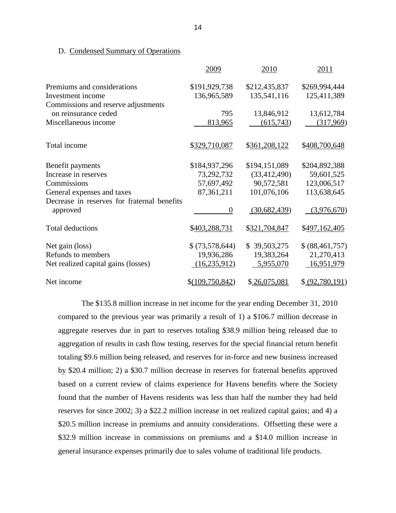#### D. Condensed Summary of Operations

|                                             | 2009              | 2010           | 2011              |
|---------------------------------------------|-------------------|----------------|-------------------|
| Premiums and considerations                 | \$191,929,738     | \$212,435,837  | \$269,994,444     |
| Investment income                           | 136,965,589       | 135,541,116    | 125,411,389       |
| Commissions and reserve adjustments         |                   |                |                   |
| on reinsurance ceded                        | 795               | 13,846,912     | 13,612,784        |
| Miscellaneous income                        | 813,965           | (615,743)      | (317,969)         |
| Total income                                | \$329,710,087     | \$361,208,122  | \$408,700,648     |
| Benefit payments                            | \$184,937,296     | \$194,151,089  | \$204,892,388     |
| Increase in reserves                        | 73,292,732        | (33, 412, 490) | 59,601,525        |
| Commissions                                 | 57,697,492        | 90,572,581     | 123,006,517       |
| General expenses and taxes                  | 87, 361, 211      | 101,076,106    | 113,638,645       |
| Decrease in reserves for fraternal benefits |                   |                |                   |
| approved                                    | $\theta$          | (30,682,439)   | (3,976,670)       |
| <b>Total deductions</b>                     | \$403,288,731     | \$321,704,847  | \$497,162,405     |
| Net gain (loss)                             | \$ (73,578,644)   | \$39,503,275   | \$ (88, 461, 757) |
| Refunds to members                          | 19,936,286        | 19,383,264     | 21,270,413        |
| Net realized capital gains (losses)         | (16, 235, 912)    | 5,955,070      | 16,951,979        |
| Net income                                  | $$$ (109,750,842) | \$26,075,081   | \$ (92,780,191)   |

 The \$135.8 million increase in net income for the year ending December 31, 2010 compared to the previous year was primarily a result of 1) a \$106.7 million decrease in aggregate reserves due in part to reserves totaling \$38.9 million being released due to aggregation of results in cash flow testing, reserves for the special financial return benefit totaling \$9.6 million being released, and reserves for in-force and new business increased by \$20.4 million; 2) a \$30.7 million decrease in reserves for fraternal benefits approved based on a current review of claims experience for Havens benefits where the Society found that the number of Havens residents was less than half the number they had held reserves for since 2002; 3) a \$22.2 million increase in net realized capital gains; and 4) a \$20.5 million increase in premiums and annuity considerations. Offsetting these were a \$32.9 million increase in commissions on premiums and a \$14.0 million increase in general insurance expenses primarily due to sales volume of traditional life products.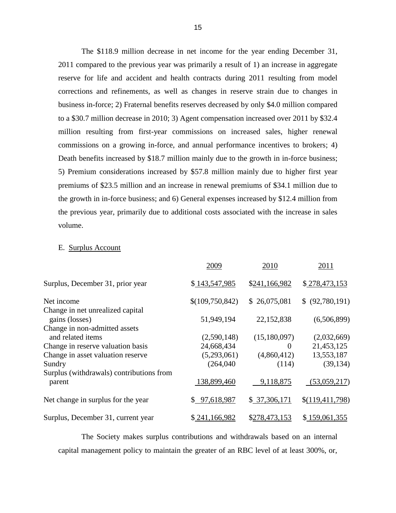The \$118.9 million decrease in net income for the year ending December 31, 2011 compared to the previous year was primarily a result of 1) an increase in aggregate reserve for life and accident and health contracts during 2011 resulting from model corrections and refinements, as well as changes in reserve strain due to changes in business in-force; 2) Fraternal benefits reserves decreased by only \$4.0 million compared commissions on a growing in-force, and annual performance incentives to brokers; 4) Death benefits increased by \$18.7 million mainly due to the growth in in-force business; 5) Premium considerations increased by \$57.8 million mainly due to higher first year premiums of \$23.5 million and an increase in renewal premiums of \$34.1 million due to the previous year, primarily due to additional costs associated with the increase in sales to a \$30.7 million decrease in 2010; 3) Agent compensation increased over 2011 by \$32.4 million resulting from first-year commissions on increased sales, higher renewal the growth in in-force business; and 6) General expenses increased by \$12.4 million from volume.

#### E. Surplus Account

|                                                    | 2009            | 2010          | 2011            |
|----------------------------------------------------|-----------------|---------------|-----------------|
| Surplus, December 31, prior year                   | \$143,547,985   | \$241,166,982 | \$278,473,153   |
| Net income                                         | \$(109,750,842) | \$26,075,081  | \$ (92,780,191) |
| Change in net unrealized capital<br>gains (losses) | 51,949,194      | 22,152,838    | (6,506,899)     |
| Change in non-admitted assets<br>and related items | (2,590,148)     | (15,180,097)  | (2,032,669)     |
| Change in reserve valuation basis                  | 24,668,434      | $\theta$      | 21,453,125      |
| Change in asset valuation reserve                  | (5,293,061)     | (4,860,412)   | 13,553,187      |
| Sundry                                             | (264,040)       | (114)         | (39, 134)       |
| Surplus (withdrawals) contributions from<br>parent | 138,899,460     | 9,118,875     | (53,059,217)    |
| Net change in surplus for the year                 | \$97,618,987    | \$37,306,171  | \$(119,411,798) |
| Surplus, December 31, current year                 | \$241,166,982   | \$278,473,153 | \$159,061,355   |

 capital management policy to maintain the greater of an RBC level of at least 300%, or, The Society makes surplus contributions and withdrawals based on an internal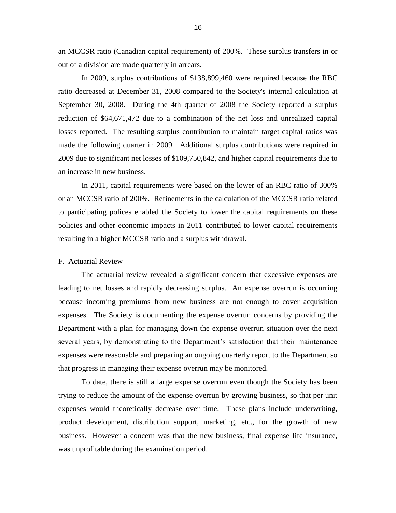<span id="page-18-0"></span> an MCCSR ratio (Canadian capital requirement) of 200%. These surplus transfers in or out of a division are made quarterly in arrears.

 In 2009, surplus contributions of \$138,899,460 were required because the RBC September 30, 2008. During the 4th quarter of 2008 the Society reported a surplus reduction of \$64,671,472 due to a combination of the net loss and unrealized capital losses reported. The resulting surplus contribution to maintain target capital ratios was made the following quarter in 2009. Additional surplus contributions were required in ratio decreased at December 31, 2008 compared to the Society's internal calculation at 2009 due to significant net losses of \$109,750,842, and higher capital requirements due to an increase in new business.

In 2011, capital requirements were based on the lower of an RBC ratio of 300% or an MCCSR ratio of 200%. Refinements in the calculation of the MCCSR ratio related to participating polices enabled the Society to lower the capital requirements on these policies and other economic impacts in 2011 contributed to lower capital requirements resulting in a higher MCCSR ratio and a surplus withdrawal.

#### F. Actuarial Review

 leading to net losses and rapidly decreasing surplus. An expense overrun is occurring because incoming premiums from new business are not enough to cover acquisition expenses. The Society is documenting the expense overrun concerns by providing the Department with a plan for managing down the expense overrun situation over the next expenses were reasonable and preparing an ongoing quarterly report to the Department so The actuarial review revealed a significant concern that excessive expenses are several years, by demonstrating to the Department's satisfaction that their maintenance that progress in managing their expense overrun may be monitored.

 To date, there is still a large expense overrun even though the Society has been trying to reduce the amount of the expense overrun by growing business, so that per unit expenses would theoretically decrease over time. These plans include underwriting, business. However a concern was that the new business, final expense life insurance, was unprofitable during the examination period. product development, distribution support, marketing, etc., for the growth of new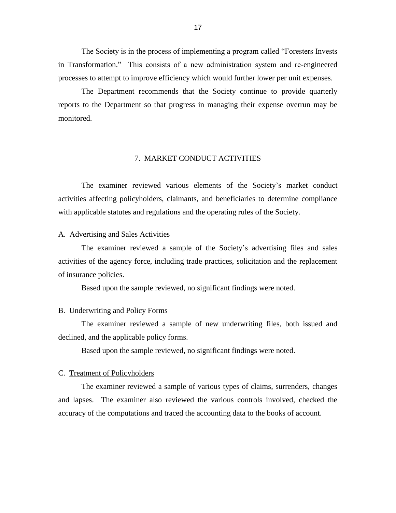<span id="page-19-0"></span> The Society is in the process of implementing a program called "Foresters Invests in Transformation." This consists of a new administration system and re-engineered processes to attempt to improve efficiency which would further lower per unit expenses.

 reports to the Department so that progress in managing their expense overrun may be The Department recommends that the Society continue to provide quarterly monitored.

#### 7. MARKET CONDUCT ACTIVITIES

 activities affecting policyholders, claimants, and beneficiaries to determine compliance with applicable statutes and regulations and the operating rules of the Society. The examiner reviewed various elements of the Society's market conduct

#### A. Advertising and Sales Activities

 activities of the agency force, including trade practices, solicitation and the replacement The examiner reviewed a sample of the Society's advertising files and sales of insurance policies.

Based upon the sample reviewed, no significant findings were noted.

#### B. Underwriting and Policy Forms

 The examiner reviewed a sample of new underwriting files, both issued and declined, and the applicable policy forms.

Based upon the sample reviewed, no significant findings were noted.

#### C. Treatment of Policyholders

 The examiner reviewed a sample of various types of claims, surrenders, changes and lapses. The examiner also reviewed the various controls involved, checked the accuracy of the computations and traced the accounting data to the books of account.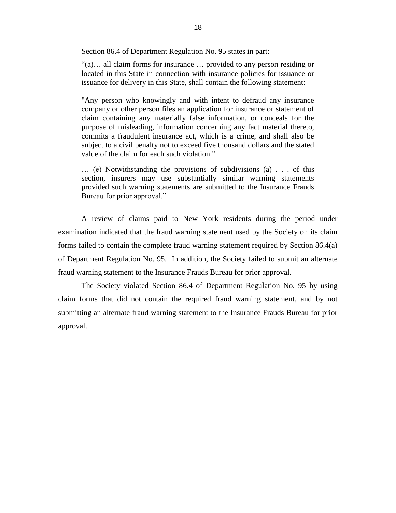Section 86.4 of Department Regulation No. 95 states in part:

 "(a)… all claim forms for insurance … provided to any person residing or located in this State in connection with insurance policies for issuance or issuance for delivery in this State, shall contain the following statement:

 "Any person who knowingly and with intent to defraud any insurance company or other person files an application for insurance or statement of claim containing any materially false information, or conceals for the purpose of misleading, information concerning any fact material thereto, commits a fraudulent insurance act, which is a crime, and shall also be subject to a civil penalty not to exceed five thousand dollars and the stated value of the claim for each such violation."

 … (e) Notwithstanding the provisions of subdivisions (a) . . . of this provided such warning statements are submitted to the Insurance Frauds section, insurers may use substantially similar warning statements Bureau for prior approval."

 A review of claims paid to New York residents during the period under examination indicated that the fraud warning statement used by the Society on its claim forms failed to contain the complete fraud warning statement required by Section 86.4(a) of Department Regulation No. 95. In addition, the Society failed to submit an alternate fraud warning statement to the Insurance Frauds Bureau for prior approval.

 The Society violated Section 86.4 of Department Regulation No. 95 by using claim forms that did not contain the required fraud warning statement, and by not submitting an alternate fraud warning statement to the Insurance Frauds Bureau for prior approval.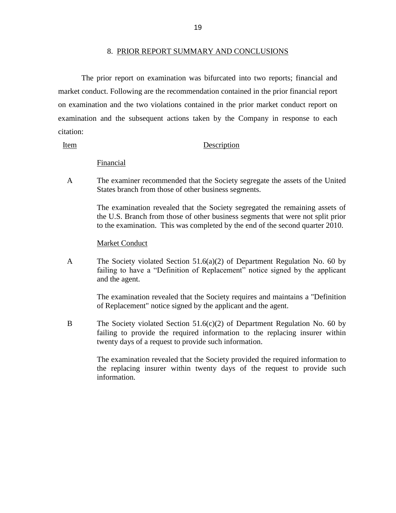#### 8. PRIOR REPORT SUMMARY AND CONCLUSIONS

<span id="page-21-0"></span> market conduct. Following are the recommendation contained in the prior financial report The prior report on examination was bifurcated into two reports; financial and on examination and the two violations contained in the prior market conduct report on examination and the subsequent actions taken by the Company in response to each citation:

#### Item Description

#### Financial

A The examiner recommended that the Society segregate the assets of the United States branch from those of other business segments.

> The examination revealed that the Society segregated the remaining assets of the U.S. Branch from those of other business segments that were not split prior to the examination. This was completed by the end of the second quarter 2010.

#### Market Conduct

 A The Society violated Section 51.6(a)(2) of Department Regulation No. 60 by failing to have a "Definition of Replacement" notice signed by the applicant and the agent.

> The examination revealed that the Society requires and maintains a "Definition of Replacement" notice signed by the applicant and the agent.

 B The Society violated Section 51.6(c)(2) of Department Regulation No. 60 by failing to provide the required information to the replacing insurer within twenty days of a request to provide such information.

> the replacing insurer within twenty days of the request to provide such The examination revealed that the Society provided the required information to information.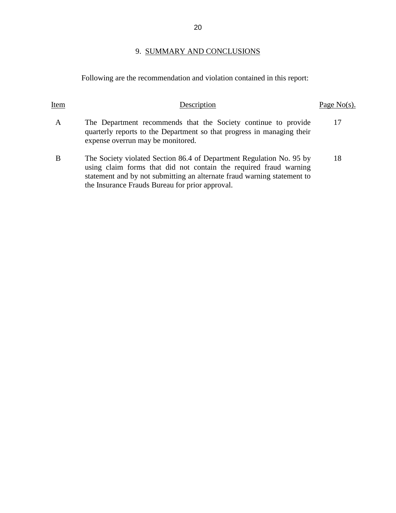## 9. SUMMARY AND CONCLUSIONS

Following are the recommendation and violation contained in this report:

| Item | Description                                                                                                                                                                                                                                                             | Page $No(s)$ . |
|------|-------------------------------------------------------------------------------------------------------------------------------------------------------------------------------------------------------------------------------------------------------------------------|----------------|
| A    | The Department recommends that the Society continue to provide<br>quarterly reports to the Department so that progress in managing their<br>expense overrun may be monitored.                                                                                           | 17             |
| B    | The Society violated Section 86.4 of Department Regulation No. 95 by<br>using claim forms that did not contain the required fraud warning<br>statement and by not submitting an alternate fraud warning statement to<br>the Insurance Frauds Bureau for prior approval. | 18             |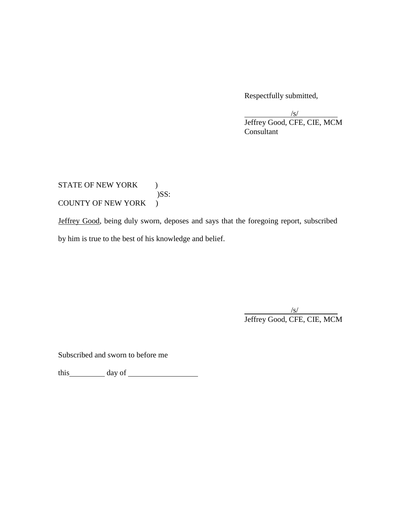Respectfully submitted,

 $\sqrt{s/2}$ Jeffrey Good, CFE, CIE, MCM Consultant

 $\mathcal{L}$ STATE OF NEW YORK ) )SS: COUNTY OF NEW YORK )

Jeffrey Good, being duly sworn, deposes and says that the foregoing report, subscribed

by him is true to the best of his knowledge and belief.

 $\sqrt{s/2}$ Jeffrey Good, CFE, CIE, MCM

Subscribed and sworn to before me

this day of